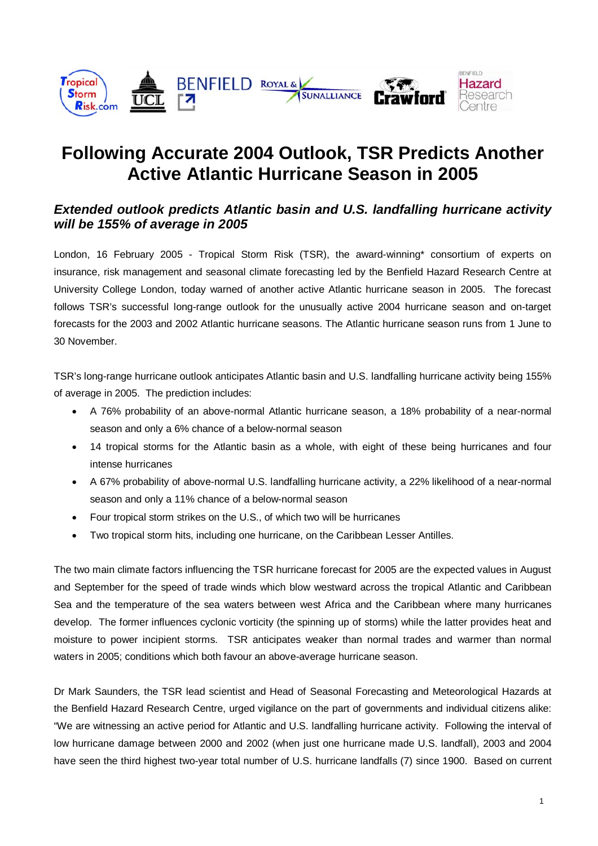

# **Following Accurate 2004 Outlook, TSR Predicts Another Active Atlantic Hurricane Season in 2005**

## **Extended outlook predicts Atlantic basin and U.S. landfalling hurricane activity will be 155% of average in 2005**

London, 16 February 2005 - Tropical Storm Risk (TSR), the award-winning\* consortium of experts on insurance, risk management and seasonal climate forecasting led by the Benfield Hazard Research Centre at University College London, today warned of another active Atlantic hurricane season in 2005. The forecast follows TSR's successful long-range outlook for the unusually active 2004 hurricane season and on-target forecasts for the 2003 and 2002 Atlantic hurricane seasons. The Atlantic hurricane season runs from 1 June to 30 November.

TSR's long-range hurricane outlook anticipates Atlantic basin and U.S. landfalling hurricane activity being 155% of average in 2005. The prediction includes:

- A 76% probability of an above-normal Atlantic hurricane season, a 18% probability of a near-normal season and only a 6% chance of a below-normal season
- 14 tropical storms for the Atlantic basin as a whole, with eight of these being hurricanes and four intense hurricanes
- A 67% probability of above-normal U.S. landfalling hurricane activity, a 22% likelihood of a near-normal season and only a 11% chance of a below-normal season
- Four tropical storm strikes on the U.S., of which two will be hurricanes
- Two tropical storm hits, including one hurricane, on the Caribbean Lesser Antilles.

The two main climate factors influencing the TSR hurricane forecast for 2005 are the expected values in August and September for the speed of trade winds which blow westward across the tropical Atlantic and Caribbean Sea and the temperature of the sea waters between west Africa and the Caribbean where many hurricanes develop. The former influences cyclonic vorticity (the spinning up of storms) while the latter provides heat and moisture to power incipient storms. TSR anticipates weaker than normal trades and warmer than normal waters in 2005; conditions which both favour an above-average hurricane season.

Dr Mark Saunders, the TSR lead scientist and Head of Seasonal Forecasting and Meteorological Hazards at the Benfield Hazard Research Centre, urged vigilance on the part of governments and individual citizens alike: "We are witnessing an active period for Atlantic and U.S. landfalling hurricane activity. Following the interval of low hurricane damage between 2000 and 2002 (when just one hurricane made U.S. landfall), 2003 and 2004 have seen the third highest two-year total number of U.S. hurricane landfalls (7) since 1900. Based on current